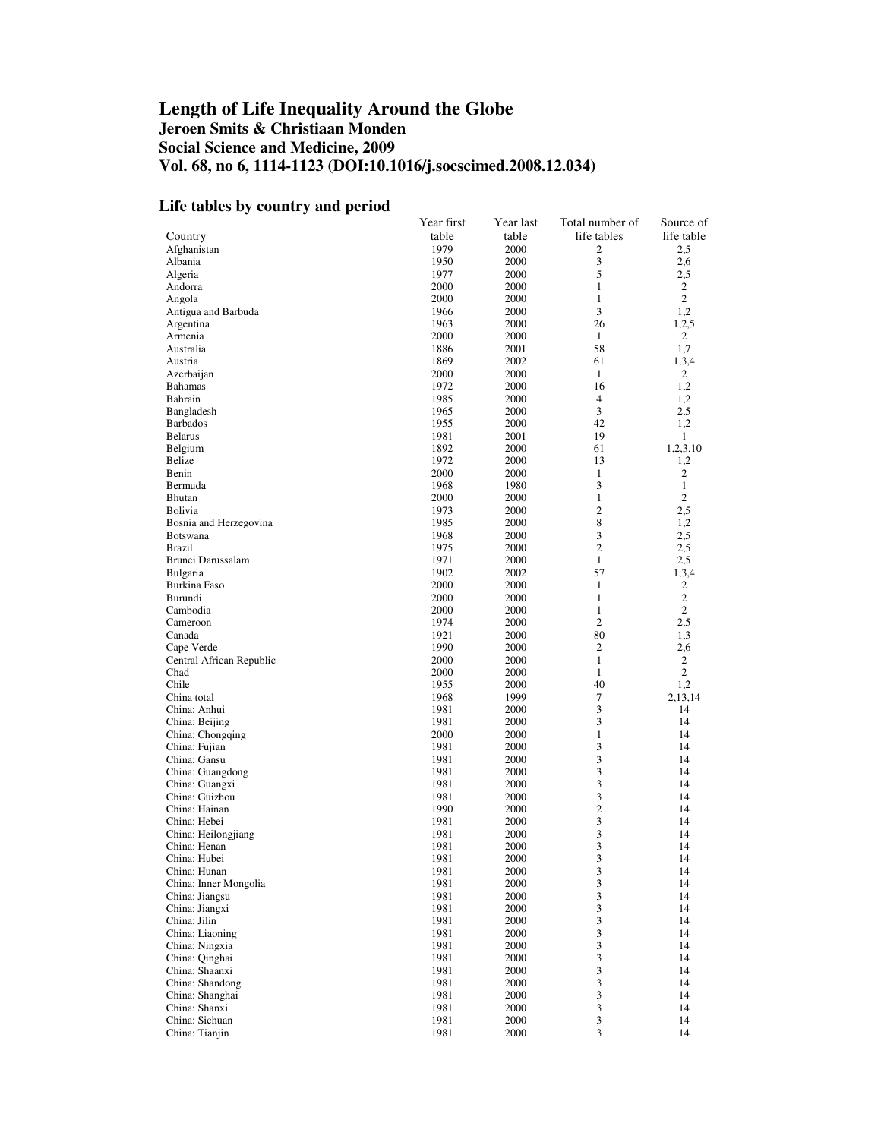## **Length of Life Inequality Around the Globe Jeroen Smits & Christiaan Monden Social Science and Medicine, 2009 Vol. 68, no 6, 1114-1123 (DOI:10.1016/j.socscimed.2008.12.034)**

## **Life tables by country and period**

|                                  | Year first   | Year last    | Total number of | Source of             |
|----------------------------------|--------------|--------------|-----------------|-----------------------|
| Country                          | table        | table        | life tables     | life table            |
| Afghanistan                      | 1979         | 2000         | 2               | 2,5                   |
| Albania                          | 1950         | 2000         | 3               | 2,6                   |
| Algeria                          | 1977         | 2000         | 5               | 2,5                   |
| Andorra                          | 2000         | 2000         | 1               | 2                     |
| Angola                           | 2000         | 2000         | 1               | $\overline{c}$        |
| Antigua and Barbuda              | 1966         | 2000         | 3               | 1,2                   |
| Argentina                        | 1963         | 2000         | 26              | 1,2,5                 |
| Armenia                          | 2000         | 2000         | 1<br>58         | 2                     |
| Australia<br>Austria             | 1886<br>1869 | 2001<br>2002 | 61              | 1,7<br>1,3,4          |
| Azerbaijan                       | 2000         | 2000         | 1               | 2                     |
| <b>Bahamas</b>                   | 1972         | 2000         | 16              | 1,2                   |
| Bahrain                          | 1985         | 2000         | $\overline{4}$  | 1,2                   |
| Bangladesh                       | 1965         | 2000         | 3               | 2,5                   |
| <b>Barbados</b>                  | 1955         | 2000         | 42              | 1,2                   |
| <b>Belarus</b>                   | 1981         | 2001         | 19              | 1                     |
| Belgium                          | 1892         | 2000         | 61              | 1,2,3,10              |
| Belize                           | 1972         | 2000         | 13              | 1,2                   |
| Benin                            | 2000         | 2000         | $\mathbf{1}$    | 2                     |
| Bermuda                          | 1968         | 1980         | 3               | 1                     |
| Bhutan                           | 2000         | 2000         | 1               | 2                     |
| <b>Bolivia</b>                   | 1973         | 2000         | $\overline{c}$  | 2,5                   |
| Bosnia and Herzegovina           | 1985         | 2000         | 8               | 1,2                   |
| <b>Botswana</b>                  | 1968         | 2000         | 3               | 2,5                   |
| <b>Brazil</b>                    | 1975         | 2000         | $\overline{c}$  | 2,5                   |
| Brunei Darussalam                | 1971         | 2000         | $\mathbf{1}$    | 2,5                   |
| Bulgaria                         | 1902         | 2002         | 57              | 1,3,4                 |
| Burkina Faso                     | 2000         | 2000         | 1               | 2                     |
| Burundi                          | 2000         | 2000         | 1               | 2                     |
| Cambodia                         | 2000         | 2000         | $\mathbf{1}$    | $\overline{2}$        |
| Cameroon                         | 1974         | 2000         | $\overline{c}$  | 2,5                   |
| Canada                           | 1921<br>1990 | 2000         | 80<br>2         | 1,3                   |
| Cape Verde                       |              | 2000         | 1               | 2,6<br>$\overline{c}$ |
| Central African Republic<br>Chad | 2000<br>2000 | 2000<br>2000 | $\mathbf{1}$    | 2                     |
| Chile                            | 1955         | 2000         | 40              | 1,2                   |
| China total                      | 1968         | 1999         | 7               | 2,13,14               |
| China: Anhui                     | 1981         | 2000         | 3               | 14                    |
| China: Beijing                   | 1981         | 2000         | 3               | 14                    |
| China: Chongqing                 | 2000         | 2000         | $\mathbf{1}$    | 14                    |
| China: Fujian                    | 1981         | 2000         | 3               | 14                    |
| China: Gansu                     | 1981         | 2000         | 3               | 14                    |
| China: Guangdong                 | 1981         | 2000         | 3               | 14                    |
| China: Guangxi                   | 1981         | 2000         | 3               | 14                    |
| China: Guizhou                   | 1981         | 2000         | 3               | 14                    |
| China: Hainan                    | 1990         | 2000         | $\mathbf{2}$    | 14                    |
| China: Hebei                     | 1981         | 2000         | 3               | 14                    |
| China: Heilongjiang              | 1981         | 2000         | 3               | 14                    |
| China: Henan                     | 1981         | 2000         | 3               | 14                    |
| China: Hubei                     | 1981         | 2000         | 3               | 14                    |
| China: Hunan                     | 1981         | 2000         | 3               | 14                    |
| China: Inner Mongolia            | 1981         | 2000         | 3               | 14                    |
| China: Jiangsu                   | 1981         | 2000         | 3               | 14                    |
| China: Jiangxi                   | 1981         | 2000         | 3               | 14                    |
| China: Jilin                     | 1981         | 2000         | 3               | 14                    |
| China: Liaoning                  | 1981         | 2000         | 3               | 14                    |
| China: Ningxia<br>China: Qinghai | 1981<br>1981 | 2000<br>2000 | 3<br>3          | 14<br>14              |
| China: Shaanxi                   | 1981         | 2000         | 3               | 14                    |
| China: Shandong                  | 1981         | 2000         | 3               | 14                    |
| China: Shanghai                  | 1981         | 2000         | 3               | 14                    |
| China: Shanxi                    | 1981         | 2000         | 3               | 14                    |
| China: Sichuan                   | 1981         | 2000         | 3               | 14                    |
| China: Tianjin                   | 1981         | 2000         | 3               | 14                    |
|                                  |              |              |                 |                       |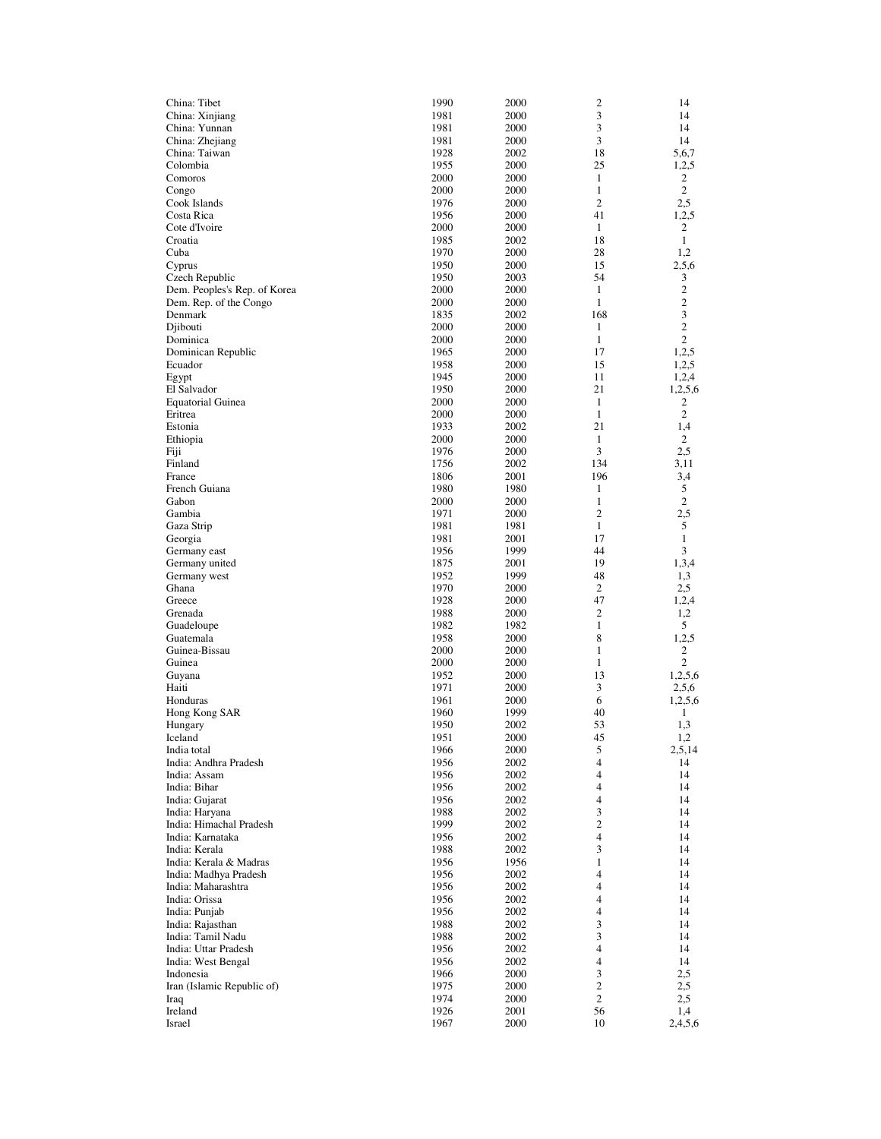| China: Tibet                 | 1990 | 2000 | $\overline{\mathbf{c}}$ | 14               |
|------------------------------|------|------|-------------------------|------------------|
| China: Xinjiang              | 1981 | 2000 | 3                       | 14               |
| China: Yunnan                | 1981 | 2000 | 3                       | 14               |
| China: Zhejiang              | 1981 | 2000 | 3                       | 14               |
| China: Taiwan                | 1928 | 2002 | 18                      | 5,6,7            |
| Colombia                     | 1955 | 2000 | 25                      | 1,2,5            |
| Comoros                      | 2000 | 2000 | 1                       | 2                |
| Congo                        | 2000 | 2000 | 1                       | 2                |
| Cook Islands                 | 1976 | 2000 | $\overline{c}$          | 2,5              |
| Costa Rica                   | 1956 | 2000 | 41                      | 1,2,5            |
| Cote d'Ivoire                | 2000 | 2000 | 1                       | 2                |
| Croatia                      | 1985 | 2002 | 18                      | 1                |
| Cuba                         | 1970 | 2000 | 28                      | 1,2              |
| Cyprus                       | 1950 | 2000 | 15                      | 2,5,6            |
| Czech Republic               | 1950 | 2003 | 54                      | 3                |
| Dem. Peoples's Rep. of Korea | 2000 | 2000 | 1                       | $\boldsymbol{2}$ |
| Dem. Rep. of the Congo       | 2000 | 2000 | 1                       | $\mathbf{2}$     |
| Denmark                      | 1835 | 2002 | 168                     | 3                |
| Djibouti                     | 2000 | 2000 | 1                       | $\overline{2}$   |
| Dominica                     | 2000 | 2000 | 1                       | 2                |
| Dominican Republic           | 1965 | 2000 | 17                      | 1,2,5            |
| Ecuador                      | 1958 | 2000 | 15                      | 1,2,5            |
| Egypt                        | 1945 | 2000 | 11                      | 1,2,4            |
| El Salvador                  | 1950 | 2000 | 21                      | 1,2,5,6          |
| <b>Equatorial Guinea</b>     | 2000 | 2000 | 1                       | 2                |
| Eritrea                      | 2000 | 2000 | $\mathbf{1}$            | $\mathbf{2}$     |
| Estonia                      | 1933 | 2002 | 21                      | 1,4              |
| Ethiopia                     | 2000 | 2000 | 1                       | 2                |
| Fiji                         | 1976 | 2000 | 3                       | 2,5              |
| Finland                      | 1756 | 2002 | 134                     | 3.11             |
| France                       | 1806 | 2001 | 196                     | 3,4              |
| French Guiana                | 1980 | 1980 | 1                       | 5                |
| Gabon                        | 2000 | 2000 | 1                       | 2                |
| Gambia                       | 1971 | 2000 | $\mathbf{2}$            | 2,5              |
| Gaza Strip                   | 1981 | 1981 | $\mathbf{1}$            | 5                |
| Georgia                      | 1981 | 2001 | 17                      | 1                |
| Germany east                 | 1956 | 1999 | 44                      | 3                |
| Germany united               | 1875 | 2001 | 19                      | 1,3,4            |
| Germany west                 | 1952 | 1999 | 48                      | 1,3              |
| Ghana                        | 1970 | 2000 | 2                       | 2,5              |
| Greece                       | 1928 | 2000 | 47                      | 1,2,4            |
| Grenada                      | 1988 | 2000 | 2                       | 1,2              |
| Guadeloupe                   | 1982 | 1982 | 1                       | 5                |
| Guatemala                    | 1958 | 2000 | 8                       | 1,2,5            |
| Guinea-Bissau                | 2000 | 2000 | 1                       | 2                |
| Guinea                       | 2000 | 2000 | 1                       | 2                |
| Guyana                       | 1952 | 2000 | 13                      | 1,2,5,6          |
| Haiti                        | 1971 | 2000 | 3                       | 2,5,6            |
| Honduras                     | 1961 | 2000 | 6                       | 1,2,5,6          |
| Hong Kong SAR                | 1960 | 1999 | 40                      | 1                |
| Hungary                      | 1950 | 2002 | 53                      | 1,3              |
| Iceland                      | 1951 | 2000 | 45                      | 1,2              |
| India total                  | 1966 | 2000 | 5                       | 2,5,14           |
| India: Andhra Pradesh        | 1956 | 2002 | 4                       | 14               |
| India: Assam                 | 1956 | 2002 | 4                       | 14               |
| India: Bihar                 | 1956 | 2002 | 4                       | 14               |
| India: Gujarat               | 1956 | 2002 | 4                       | 14               |
| India: Haryana               | 1988 | 2002 | 3                       | 14               |
| India: Himachal Pradesh      | 1999 | 2002 | 2                       | 14               |
| India: Karnataka             | 1956 | 2002 | 4                       | 14               |
| India: Kerala                | 1988 | 2002 | 3                       | 14               |
| India: Kerala & Madras       | 1956 | 1956 | 1                       | 14               |
| India: Madhya Pradesh        | 1956 | 2002 | 4                       | 14               |
| India: Maharashtra           | 1956 | 2002 | 4                       | 14               |
| India: Orissa                | 1956 | 2002 | 4                       | 14               |
| India: Punjab                | 1956 | 2002 | 4                       | 14               |
| India: Rajasthan             | 1988 | 2002 | 3                       | 14               |
| India: Tamil Nadu            | 1988 | 2002 | 3                       | 14               |
| India: Uttar Pradesh         | 1956 | 2002 | 4                       | 14               |
| India: West Bengal           | 1956 | 2002 | 4                       | 14               |
| Indonesia                    | 1966 | 2000 | 3                       | 2,5              |
| Iran (Islamic Republic of)   | 1975 | 2000 | 2                       | 2,5              |
| Iraq                         | 1974 | 2000 | 2                       | 2,5              |
| Ireland                      | 1926 | 2001 | 56                      | 1,4<br>2,4,5,6   |
| Israel                       | 1967 | 2000 | 10                      |                  |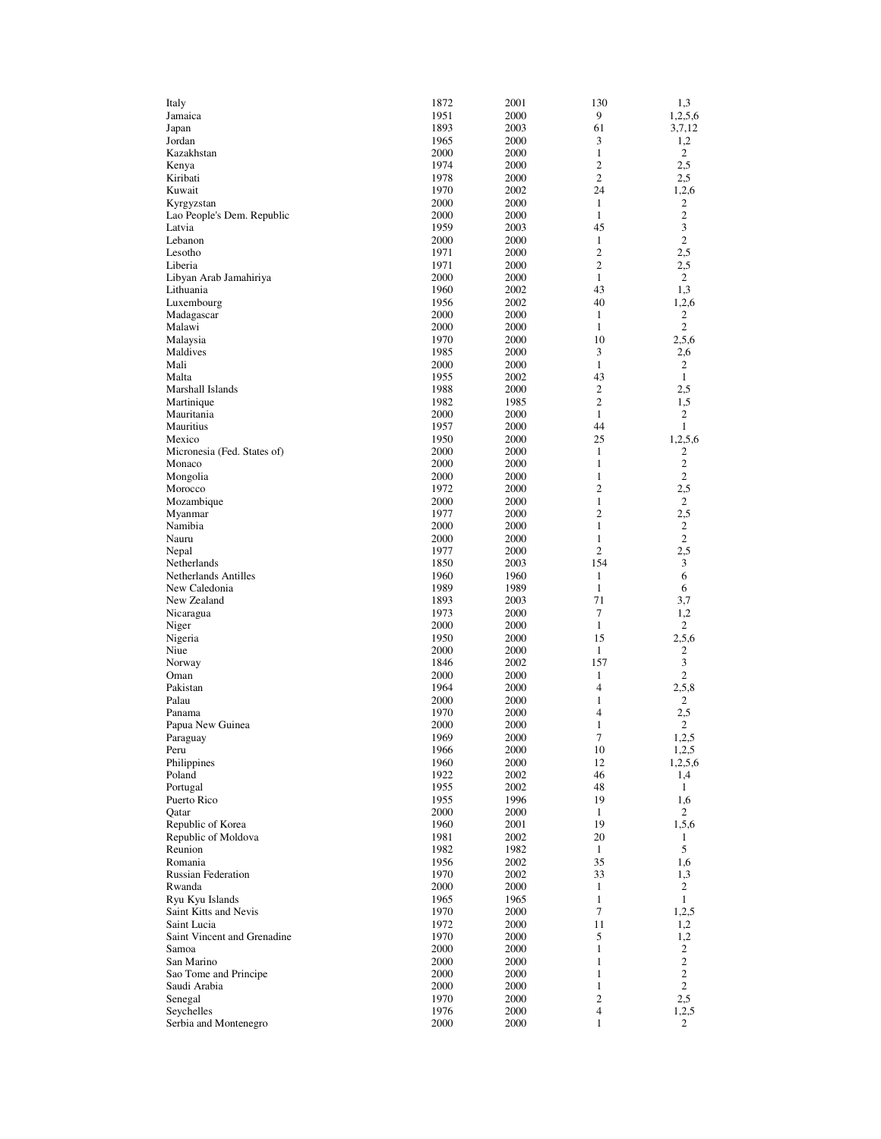| Italy                                 | 1872         | 2001         | 130                            | 1,3                 |
|---------------------------------------|--------------|--------------|--------------------------------|---------------------|
| Jamaica                               | 1951         | 2000         | 9                              | 1,2,5,6             |
| Japan                                 | 1893         | 2003         | 61                             | 3,7,12              |
| Jordan<br>Kazakhstan                  | 1965<br>2000 | 2000         | 3<br>1                         | 1,2                 |
| Kenya                                 | 1974         | 2000<br>2000 | 2                              | 2<br>2,5            |
| Kiribati                              | 1978         | 2000         | 2                              | 2,5                 |
| Kuwait                                | 1970         | 2002         | 24                             | 1,2,6               |
| Kyrgyzstan                            | 2000         | 2000         | 1                              | 2                   |
| Lao People's Dem. Republic            | 2000         | 2000         | 1                              | $\mathbf{2}$        |
| Latvia                                | 1959         | 2003         | 45                             | 3                   |
| Lebanon                               | 2000         | 2000         | 1                              | $\mathbf{2}$        |
| Lesotho                               | 1971         | 2000         | 2                              | 2,5                 |
| Liberia                               | 1971<br>2000 | 2000<br>2000 | $\overline{c}$<br>$\mathbf{1}$ | 2.5<br>2            |
| Libyan Arab Jamahiriya<br>Lithuania   | 1960         | 2002         | 43                             | 1,3                 |
| Luxembourg                            | 1956         | 2002         | 40                             | 1,2,6               |
| Madagascar                            | 2000         | 2000         | 1                              | 2                   |
| Malawi                                | 2000         | 2000         | $\mathbf{1}$                   | $\mathbf{2}$        |
| Malaysia                              | 1970         | 2000         | 10                             | 2,5,6               |
| Maldives                              | 1985         | 2000         | 3                              | 2,6                 |
| Mali                                  | 2000         | 2000         | 1                              | 2                   |
| Malta                                 | 1955         | 2002         | 43                             | $\mathbf{1}$        |
| Marshall Islands                      | 1988         | 2000         | 2                              | 2,5                 |
| Martinique                            | 1982         | 1985         | 2                              | 1,5                 |
| Mauritania                            | 2000         | 2000         | 1                              | 2                   |
| Mauritius                             | 1957         | 2000         | 44                             | 1                   |
| Mexico                                | 1950<br>2000 | 2000<br>2000 | 25<br>1                        | 1,2,5,6<br>2        |
| Micronesia (Fed. States of)<br>Monaco | 2000         | 2000         | 1                              | $\boldsymbol{2}$    |
| Mongolia                              | 2000         | 2000         | 1                              | $\overline{2}$      |
| Morocco                               | 1972         | 2000         | 2                              | 2,5                 |
| Mozambique                            | 2000         | 2000         | 1                              | 2                   |
| Myanmar                               | 1977         | 2000         | 2                              | 2,5                 |
| Namibia                               | 2000         | 2000         | 1                              | 2                   |
| Nauru                                 | 2000         | 2000         | $\mathbf{1}$                   | $\overline{2}$      |
| Nepal                                 | 1977         | 2000         | $\overline{c}$                 | 2,5                 |
| Netherlands                           | 1850         | 2003         | 154                            | 3                   |
| Netherlands Antilles                  | 1960         | 1960         | 1                              | 6                   |
| New Caledonia                         | 1989         | 1989         | $\mathbf{1}$                   | 6                   |
| New Zealand                           | 1893         | 2003         | 71                             | 3,7                 |
| Nicaragua                             | 1973         | 2000         | 7                              | 1,2                 |
| Niger<br>Nigeria                      | 2000<br>1950 | 2000<br>2000 | 1<br>15                        | 2<br>2,5,6          |
| Niue                                  | 2000         | 2000         | $\mathbf{1}$                   | 2                   |
| Norway                                | 1846         | 2002         | 157                            | 3                   |
| Oman                                  | 2000         | 2000         | 1                              | 2                   |
| Pakistan                              | 1964         | 2000         | 4                              | 2,5,8               |
| Palau                                 | 2000         | 2000         | 1                              | 2                   |
| Panama                                | 1970         | 2000         | 4                              | 2,5                 |
| Papua New Guinea                      | 2000         | 2000         | 1                              | 2                   |
| Paraguay                              | 1969         | 2000         | 7                              | 1,2,5               |
| Peru                                  | 1966         | 2000         | 10                             | 1,2,5               |
| Philippines                           | 1960         | 2000         | 12                             | 1,2,5,6             |
| Poland                                | 1922         | 2002         | 46                             | 1,4                 |
| Portugal<br>Puerto Rico               | 1955<br>1955 | 2002<br>1996 | 48<br>19                       | $\mathbf{1}$<br>1,6 |
| Qatar                                 | 2000         | 2000         | $\mathbf{1}$                   | 2                   |
| Republic of Korea                     | 1960         | 2001         | 19                             | 1,5,6               |
| Republic of Moldova                   | 1981         | 2002         | 20                             | 1                   |
| Reunion                               | 1982         | 1982         | $\mathbf{1}$                   | 5                   |
| Romania                               | 1956         | 2002         | 35                             | 1,6                 |
| Russian Federation                    | 1970         | 2002         | 33                             | 1,3                 |
| Rwanda                                | 2000         | 2000         | 1                              | $\overline{2}$      |
| Ryu Kyu Islands                       | 1965         | 1965         | 1                              | 1                   |
| Saint Kitts and Nevis                 | 1970         | 2000         | 7                              | 1,2,5               |
| Saint Lucia                           | 1972         | 2000         | 11                             | 1,2                 |
| Saint Vincent and Grenadine           | 1970         | 2000         | 5                              | 1,2                 |
| Samoa                                 | 2000         | 2000         | 1                              | 2                   |
| San Marino<br>Sao Tome and Principe   | 2000<br>2000 | 2000<br>2000 | 1<br>1                         | 2<br>2              |
| Saudi Arabia                          | 2000         | 2000         | 1                              | 2                   |
| Senegal                               | 1970         | 2000         | 2                              | 2,5                 |
| Seychelles                            | 1976         | 2000         | 4                              | 1,2,5               |
| Serbia and Montenegro                 | 2000         | 2000         | 1                              | $\overline{c}$      |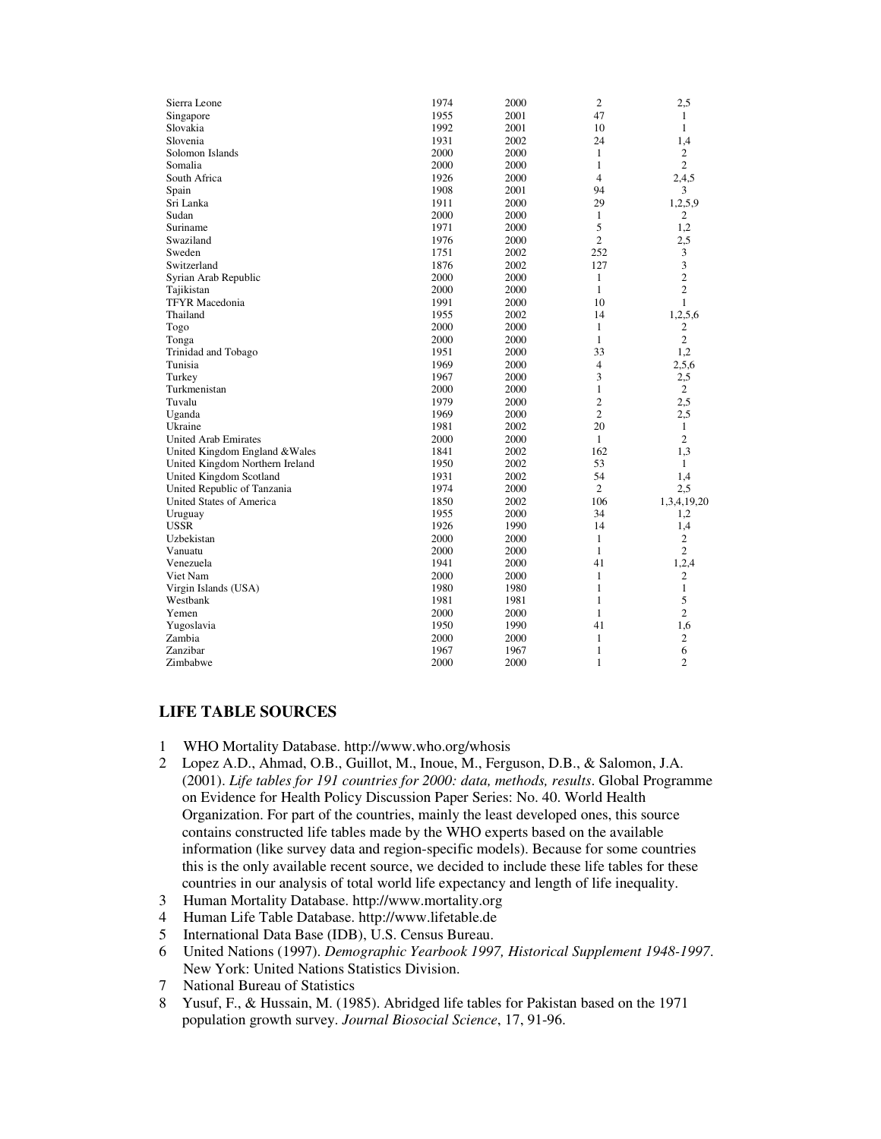| Sierra Leone                    | 1974 | 2000 | 2              | 2,5              |
|---------------------------------|------|------|----------------|------------------|
| Singapore                       | 1955 | 2001 | 47             | 1                |
| Slovakia                        | 1992 | 2001 | 10             | 1                |
| Slovenia                        | 1931 | 2002 | 24             | 1,4              |
| Solomon Islands                 | 2000 | 2000 | 1              | $\mathbf{2}$     |
| Somalia                         | 2000 | 2000 | 1              | $\overline{2}$   |
| South Africa                    | 1926 | 2000 | 4              | 2,4,5            |
| Spain                           | 1908 | 2001 | 94             | 3                |
| Sri Lanka                       | 1911 | 2000 | 29             | 1,2,5,9          |
| Sudan                           | 2000 | 2000 | 1              | 2                |
| Suriname                        | 1971 | 2000 | 5              | 1,2              |
| Swaziland                       | 1976 | 2000 | $\overline{c}$ | 2,5              |
| Sweden                          | 1751 | 2002 | 252            | 3                |
| Switzerland                     | 1876 | 2002 | 127            | 3                |
| Syrian Arab Republic            | 2000 | 2000 | 1              | $\overline{2}$   |
| Tajikistan                      | 2000 | 2000 | $\mathbf{1}$   | $\overline{2}$   |
| <b>TFYR</b> Macedonia           | 1991 | 2000 | 10             | 1                |
| Thailand                        | 1955 | 2002 | 14             | 1,2,5,6          |
| Togo                            | 2000 | 2000 | $\mathbf{1}$   | 2                |
| Tonga                           | 2000 | 2000 | $\mathbf{1}$   | $\overline{2}$   |
| Trinidad and Tobago             | 1951 | 2000 | 33             | 1,2              |
| Tunisia                         | 1969 | 2000 | $\overline{4}$ | 2,5,6            |
| Turkey                          | 1967 | 2000 | 3              | 2,5              |
| Turkmenistan                    | 2000 | 2000 | 1              | 2                |
| Tuvalu                          | 1979 | 2000 | $\overline{c}$ | 2,5              |
| Uganda                          | 1969 | 2000 | $\overline{2}$ | 2,5              |
| Ukraine                         | 1981 | 2002 | 20             | 1                |
| <b>United Arab Emirates</b>     | 2000 | 2000 | $\mathbf{1}$   | $\overline{2}$   |
| United Kingdom England & Wales  | 1841 | 2002 | 162            | 1,3              |
| United Kingdom Northern Ireland | 1950 | 2002 | 53             | 1                |
| United Kingdom Scotland         | 1931 | 2002 | 54             | 1,4              |
| United Republic of Tanzania     | 1974 | 2000 | $\overline{c}$ | 2,5              |
| <b>United States of America</b> | 1850 | 2002 | 106            | 1,3,4,19,20      |
| Uruguay                         | 1955 | 2000 | 34             | 1,2              |
| <b>USSR</b>                     | 1926 | 1990 | 14             | 1,4              |
| Uzbekistan                      | 2000 | 2000 | 1              | $\boldsymbol{2}$ |
| Vanuatu                         | 2000 | 2000 | 1              | $\mathfrak{2}$   |
| Venezuela                       | 1941 | 2000 | 41             | 1,2,4            |
| Viet Nam                        | 2000 | 2000 | $\mathbf{1}$   | 2                |
| Virgin Islands (USA)            | 1980 | 1980 | 1              | $\mathbf{1}$     |
| Westbank                        | 1981 | 1981 | 1              | 5                |
| Yemen                           | 2000 | 2000 | $\mathbf{1}$   | $\overline{2}$   |
| Yugoslavia                      | 1950 | 1990 | 41             | 1,6              |
| Zambia                          | 2000 | 2000 | 1              | $\mathbf{2}$     |
| Zanzibar                        | 1967 | 1967 | 1              | 6                |
| Zimbabwe                        | 2000 | 2000 | 1              | $\overline{c}$   |
|                                 |      |      |                |                  |

## **LIFE TABLE SOURCES**

- 1 WHO Mortality Database. http://www.who.org/whosis
- 2 Lopez A.D., Ahmad, O.B., Guillot, M., Inoue, M., Ferguson, D.B., & Salomon, J.A. (2001). *Life tables for 191 countries for 2000: data, methods, results*. Global Programme on Evidence for Health Policy Discussion Paper Series: No. 40. World Health Organization. For part of the countries, mainly the least developed ones, this source contains constructed life tables made by the WHO experts based on the available information (like survey data and region-specific models). Because for some countries this is the only available recent source, we decided to include these life tables for these countries in our analysis of total world life expectancy and length of life inequality.
- 3 Human Mortality Database. http://www.mortality.org
- 4 Human Life Table Database. http://www.lifetable.de
- 5 International Data Base (IDB), U.S. Census Bureau.
- 6 United Nations (1997). *Demographic Yearbook 1997, Historical Supplement 1948-1997*. New York: United Nations Statistics Division.
- 7 National Bureau of Statistics
- 8 Yusuf, F., & Hussain, M. (1985). Abridged life tables for Pakistan based on the 1971 population growth survey. *Journal Biosocial Science*, 17, 91-96.